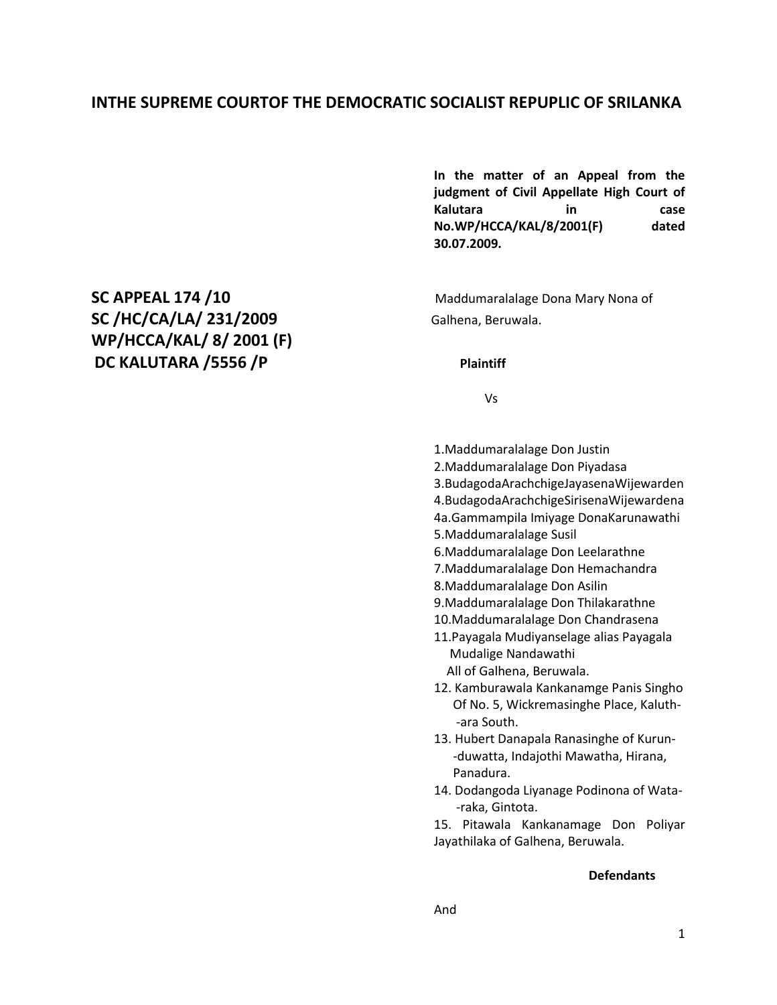# **INTHE SUPREME COURTOF THE DEMOCRATIC SOCIALIST REPUPLIC OF SRILANKA**

**In the matter of an Appeal from the judgment of Civil Appellate High Court of Kalutara in case No.WP/HCCA/KAL/8/2001(F) dated 30.07.2009.**

Vs

- 1.Maddumaralalage Don Justin
- 2.Maddumaralalage Don Piyadasa
- 3.BudagodaArachchigeJayasenaWijewarden
- 4.BudagodaArachchigeSirisenaWijewardena
- 4a.Gammampila Imiyage DonaKarunawathi
- 5.Maddumaralalage Susil
- 6.Maddumaralalage Don Leelarathne
- 7.Maddumaralalage Don Hemachandra
- 8.Maddumaralalage Don Asilin
- 9.Maddumaralalage Don Thilakarathne
- 10.Maddumaralalage Don Chandrasena
- 11.Payagala Mudiyanselage alias Payagala Mudalige Nandawathi All of Galhena, Beruwala.

12. Kamburawala Kankanamge Panis Singho

- Of No. 5, Wickremasinghe Place, Kaluth- -ara South.
- 13. Hubert Danapala Ranasinghe of Kurun- -duwatta, Indajothi Mawatha, Hirana, Panadura.
- 14. Dodangoda Liyanage Podinona of Wata- -raka, Gintota.
- 15. Pitawala Kankanamage Don Poliyar Jayathilaka of Galhena, Beruwala.

#### **Defendants**

And

**SC APPEAL 174 /10 Maddumaralalage Dona Mary Nona of** SC /HC/CA/LA/ 231/2009 **Galhena, Beruwala. WP/HCCA/KAL/ 8/ 2001 (F) DC KALUTARA /5556 /P Plaintiff**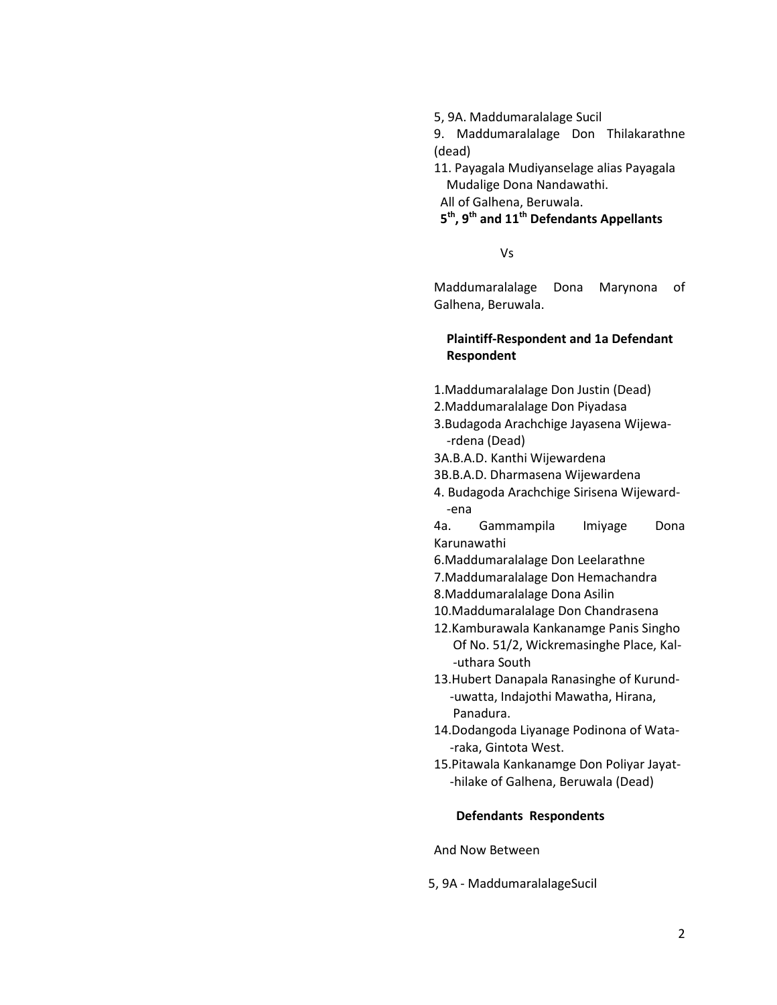5, 9A. Maddumaralalage Sucil

9. Maddumaralalage Don Thilakarathne (dead)

11. Payagala Mudiyanselage alias Payagala Mudalige Dona Nandawathi. All of Galhena, Beruwala.

# **5 th, 9th and 11th Defendants Appellants**

Vs

Maddumaralalage Dona Marynona of Galhena, Beruwala.

### **Plaintiff-Respondent and 1a Defendant Respondent**

- 1.Maddumaralalage Don Justin (Dead)
- 2.Maddumaralalage Don Piyadasa
- 3.Budagoda Arachchige Jayasena Wijewa- -rdena (Dead)
- 3A.B.A.D. Kanthi Wijewardena
- 3B.B.A.D. Dharmasena Wijewardena
- 4. Budagoda Arachchige Sirisena Wijeward- -ena

4a. Gammampila Imiyage Dona Karunawathi

- 6.Maddumaralalage Don Leelarathne
- 7.Maddumaralalage Don Hemachandra
- 8.Maddumaralalage Dona Asilin
- 10.Maddumaralalage Don Chandrasena
- 12.Kamburawala Kankanamge Panis Singho Of No. 51/2, Wickremasinghe Place, Kal- -uthara South
- 13.Hubert Danapala Ranasinghe of Kurund- -uwatta, Indajothi Mawatha, Hirana, Panadura.
- 14.Dodangoda Liyanage Podinona of Wata- -raka, Gintota West.
- 15.Pitawala Kankanamge Don Poliyar Jayat- -hilake of Galhena, Beruwala (Dead)

#### **Defendants Respondents**

And Now Between

5, 9A - MaddumaralalageSucil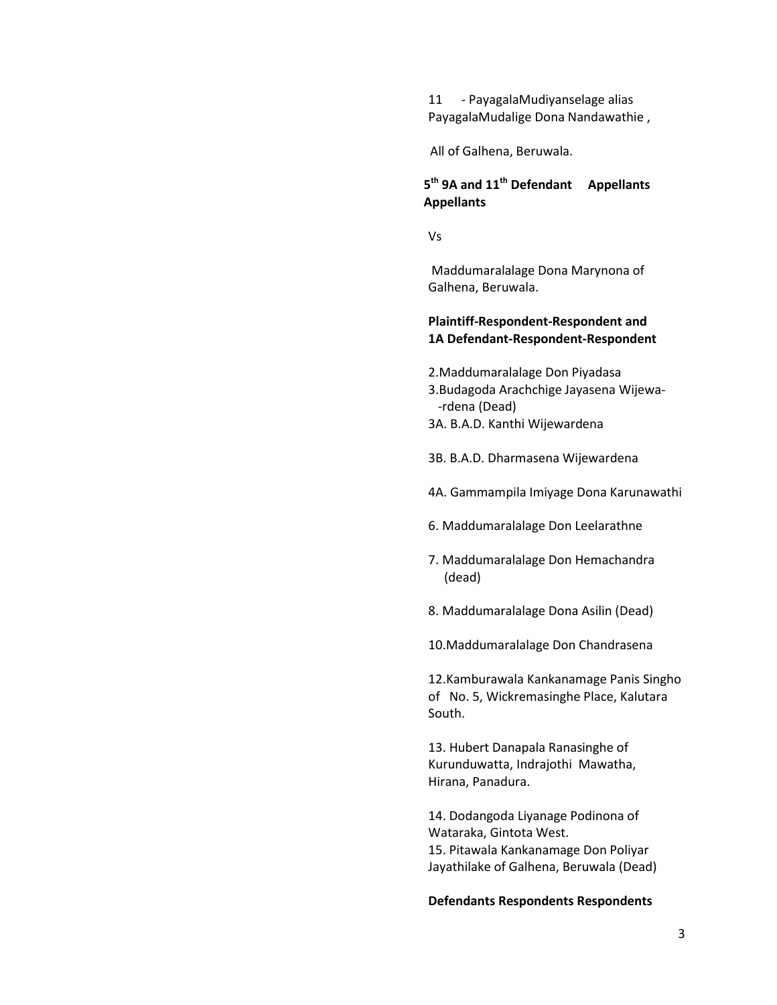11 - PayagalaMudiyanselage alias PayagalaMudalige Dona Nandawathie ,

All of Galhena, Beruwala.

## **5 th 9A and 11th Defendant Appellants Appellants**

Vs

Maddumaralalage Dona Marynona of Galhena, Beruwala.

#### **Plaintiff-Respondent-Respondent and 1A Defendant-Respondent-Respondent**

- 2.Maddumaralalage Don Piyadasa
- 3.Budagoda Arachchige Jayasena Wijewa- -rdena (Dead)
- 3A. B.A.D. Kanthi Wijewardena
- 3B. B.A.D. Dharmasena Wijewardena
- 4A. Gammampila Imiyage Dona Karunawathi
- 6. Maddumaralalage Don Leelarathne
- 7. Maddumaralalage Don Hemachandra (dead)
- 8. Maddumaralalage Dona Asilin (Dead)
- 10.Maddumaralalage Don Chandrasena

12.Kamburawala Kankanamage Panis Singho of No. 5, Wickremasinghe Place, Kalutara South.

13. Hubert Danapala Ranasinghe of Kurunduwatta, Indrajothi Mawatha, Hirana, Panadura.

14. Dodangoda Liyanage Podinona of Wataraka, Gintota West. 15. Pitawala Kankanamage Don Poliyar Jayathilake of Galhena, Beruwala (Dead)

#### **Defendants Respondents Respondents**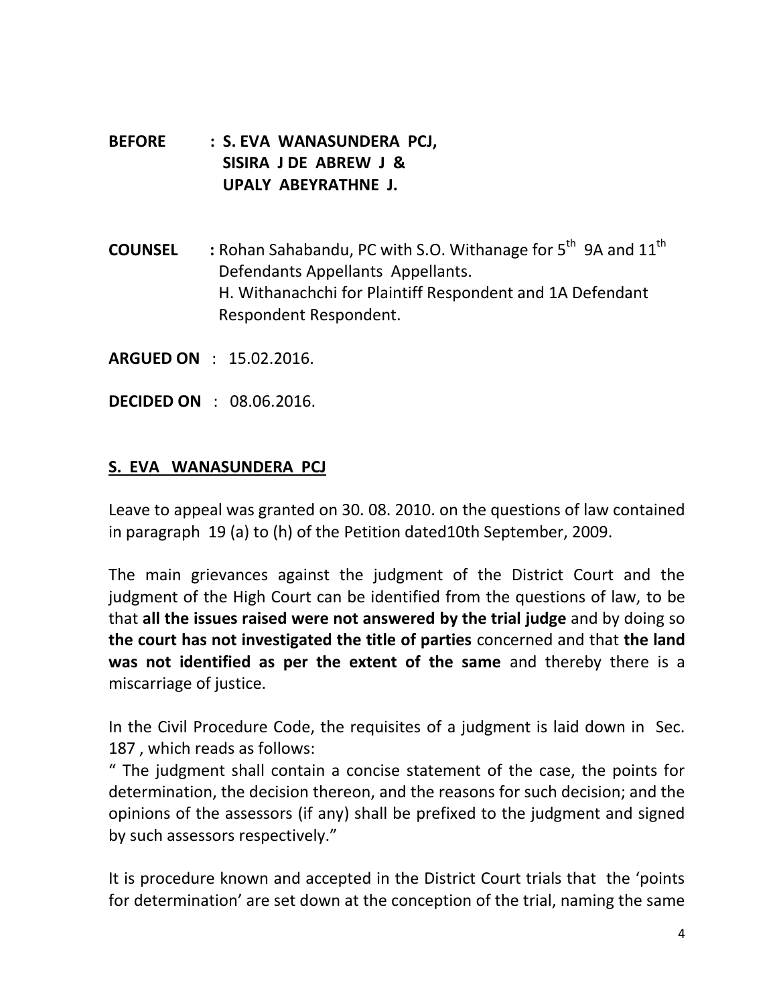- **BEFORE : S. EVA WANASUNDERA PCJ, SISIRA J DE ABREW J & UPALY ABEYRATHNE J.**
- **COUNSEL** : Rohan Sahabandu, PC with S.O. Withanage for 5<sup>th</sup> 9A and 11<sup>th</sup> Defendants Appellants Appellants. H. Withanachchi for Plaintiff Respondent and 1A Defendant Respondent Respondent.
- **ARGUED ON** : 15.02.2016.
- **DECIDED ON** : 08.06.2016.

# **S. EVA WANASUNDERA PCJ**

Leave to appeal was granted on 30. 08. 2010. on the questions of law contained in paragraph 19 (a) to (h) of the Petition dated10th September, 2009.

The main grievances against the judgment of the District Court and the judgment of the High Court can be identified from the questions of law, to be that **all the issues raised were not answered by the trial judge** and by doing so **the court has not investigated the title of parties** concerned and that **the land was not identified as per the extent of the same** and thereby there is a miscarriage of justice.

In the Civil Procedure Code, the requisites of a judgment is laid down in Sec. 187 , which reads as follows:

" The judgment shall contain a concise statement of the case, the points for determination, the decision thereon, and the reasons for such decision; and the opinions of the assessors (if any) shall be prefixed to the judgment and signed by such assessors respectively."

It is procedure known and accepted in the District Court trials that the 'points for determination' are set down at the conception of the trial, naming the same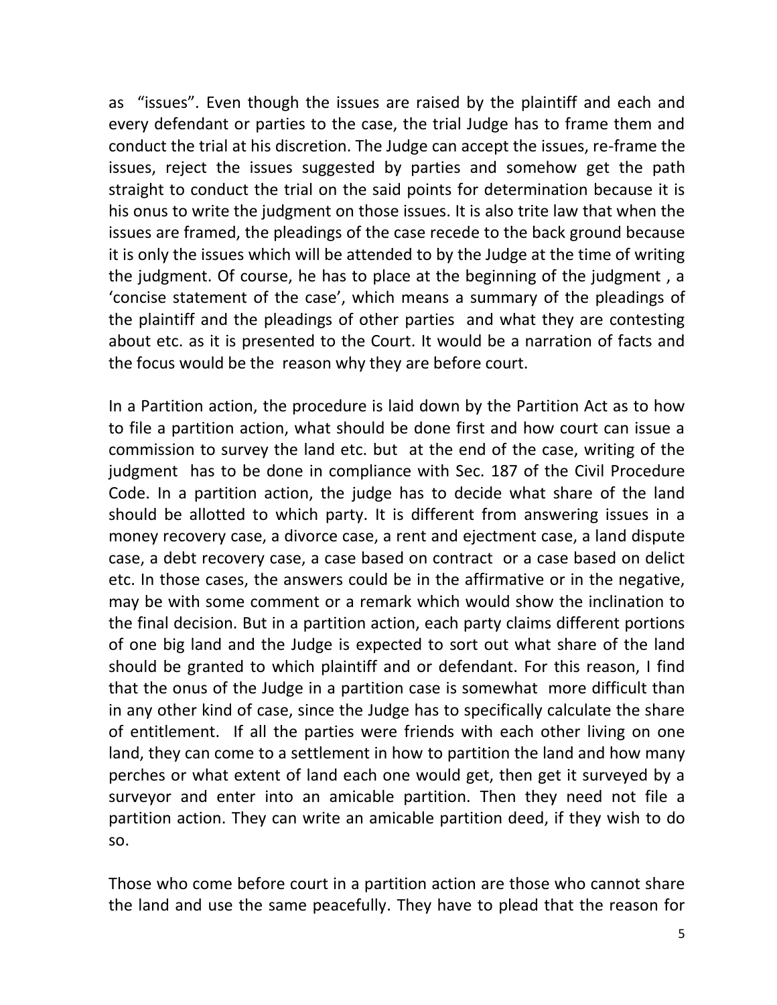as "issues". Even though the issues are raised by the plaintiff and each and every defendant or parties to the case, the trial Judge has to frame them and conduct the trial at his discretion. The Judge can accept the issues, re-frame the issues, reject the issues suggested by parties and somehow get the path straight to conduct the trial on the said points for determination because it is his onus to write the judgment on those issues. It is also trite law that when the issues are framed, the pleadings of the case recede to the back ground because it is only the issues which will be attended to by the Judge at the time of writing the judgment. Of course, he has to place at the beginning of the judgment , a 'concise statement of the case', which means a summary of the pleadings of the plaintiff and the pleadings of other parties and what they are contesting about etc. as it is presented to the Court. It would be a narration of facts and the focus would be the reason why they are before court.

In a Partition action, the procedure is laid down by the Partition Act as to how to file a partition action, what should be done first and how court can issue a commission to survey the land etc. but at the end of the case, writing of the judgment has to be done in compliance with Sec. 187 of the Civil Procedure Code. In a partition action, the judge has to decide what share of the land should be allotted to which party. It is different from answering issues in a money recovery case, a divorce case, a rent and ejectment case, a land dispute case, a debt recovery case, a case based on contract or a case based on delict etc. In those cases, the answers could be in the affirmative or in the negative, may be with some comment or a remark which would show the inclination to the final decision. But in a partition action, each party claims different portions of one big land and the Judge is expected to sort out what share of the land should be granted to which plaintiff and or defendant. For this reason, I find that the onus of the Judge in a partition case is somewhat more difficult than in any other kind of case, since the Judge has to specifically calculate the share of entitlement. If all the parties were friends with each other living on one land, they can come to a settlement in how to partition the land and how many perches or what extent of land each one would get, then get it surveyed by a surveyor and enter into an amicable partition. Then they need not file a partition action. They can write an amicable partition deed, if they wish to do so.

Those who come before court in a partition action are those who cannot share the land and use the same peacefully. They have to plead that the reason for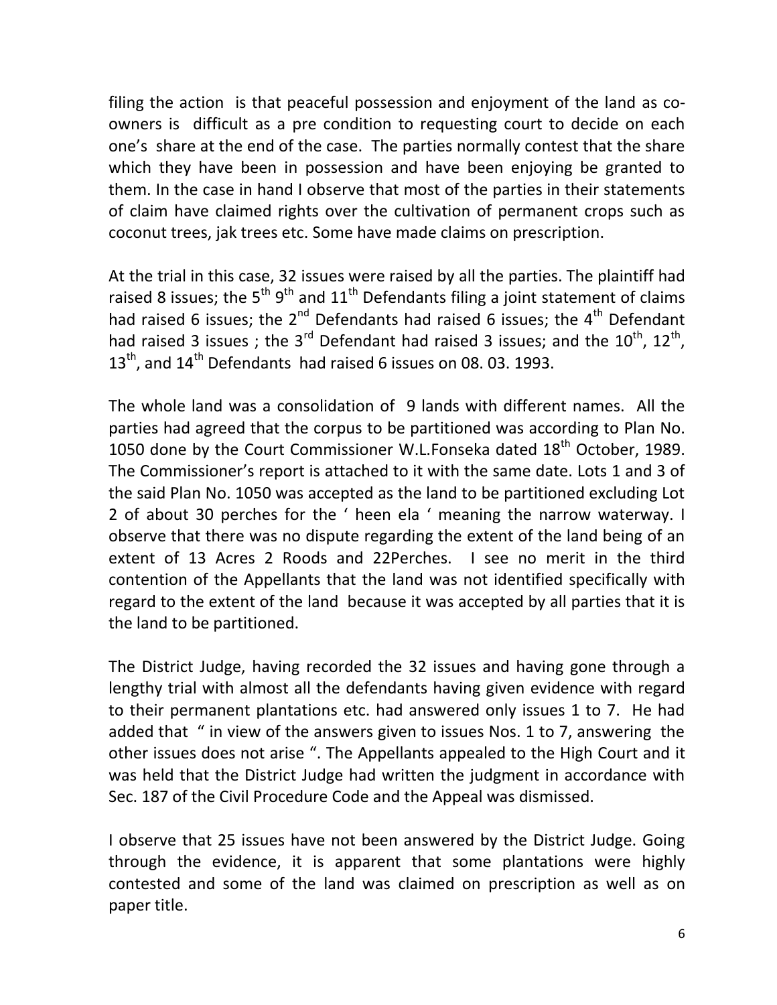filing the action is that peaceful possession and enjoyment of the land as coowners is difficult as a pre condition to requesting court to decide on each one's share at the end of the case. The parties normally contest that the share which they have been in possession and have been enjoying be granted to them. In the case in hand I observe that most of the parties in their statements of claim have claimed rights over the cultivation of permanent crops such as coconut trees, jak trees etc. Some have made claims on prescription.

At the trial in this case, 32 issues were raised by all the parties. The plaintiff had raised 8 issues; the 5<sup>th</sup> 9<sup>th</sup> and 11<sup>th</sup> Defendants filing a joint statement of claims had raised 6 issues; the  $2^{nd}$  Defendants had raised 6 issues; the  $4^{th}$  Defendant had raised 3 issues ; the 3<sup>rd</sup> Defendant had raised 3 issues; and the  $10^{\text{th}}$ ,  $12^{\text{th}}$ ,  $13<sup>th</sup>$ , and  $14<sup>th</sup>$  Defendants had raised 6 issues on 08. 03. 1993.

The whole land was a consolidation of 9 lands with different names. All the parties had agreed that the corpus to be partitioned was according to Plan No. 1050 done by the Court Commissioner W.L.Fonseka dated  $18<sup>th</sup>$  October, 1989. The Commissioner's report is attached to it with the same date. Lots 1 and 3 of the said Plan No. 1050 was accepted as the land to be partitioned excluding Lot 2 of about 30 perches for the ' heen ela ' meaning the narrow waterway. I observe that there was no dispute regarding the extent of the land being of an extent of 13 Acres 2 Roods and 22Perches. I see no merit in the third contention of the Appellants that the land was not identified specifically with regard to the extent of the land because it was accepted by all parties that it is the land to be partitioned.

The District Judge, having recorded the 32 issues and having gone through a lengthy trial with almost all the defendants having given evidence with regard to their permanent plantations etc. had answered only issues 1 to 7. He had added that " in view of the answers given to issues Nos. 1 to 7, answering the other issues does not arise ". The Appellants appealed to the High Court and it was held that the District Judge had written the judgment in accordance with Sec. 187 of the Civil Procedure Code and the Appeal was dismissed.

I observe that 25 issues have not been answered by the District Judge. Going through the evidence, it is apparent that some plantations were highly contested and some of the land was claimed on prescription as well as on paper title.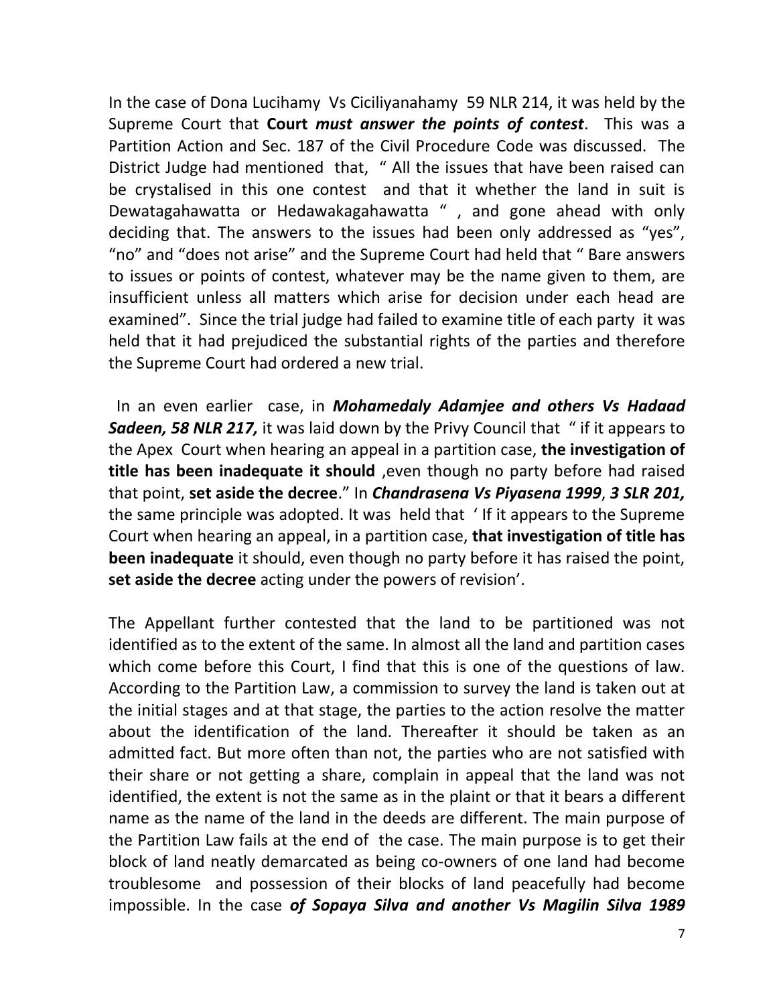In the case of Dona Lucihamy Vs Ciciliyanahamy 59 NLR 214, it was held by the Supreme Court that **Court** *must answer the points of contest*. This was a Partition Action and Sec. 187 of the Civil Procedure Code was discussed. The District Judge had mentioned that, " All the issues that have been raised can be crystalised in this one contest and that it whether the land in suit is Dewatagahawatta or Hedawakagahawatta ", and gone ahead with only deciding that. The answers to the issues had been only addressed as "yes", "no" and "does not arise" and the Supreme Court had held that " Bare answers to issues or points of contest, whatever may be the name given to them, are insufficient unless all matters which arise for decision under each head are examined". Since the trial judge had failed to examine title of each party it was held that it had prejudiced the substantial rights of the parties and therefore the Supreme Court had ordered a new trial.

 In an even earlier case, in *Mohamedaly Adamjee and others Vs Hadaad*  **Sadeen, 58 NLR 217,** it was laid down by the Privy Council that " if it appears to the Apex Court when hearing an appeal in a partition case, **the investigation of title has been inadequate it should** ,even though no party before had raised that point, **set aside the decree**." In *Chandrasena Vs Piyasena 1999*, *3 SLR 201,* the same principle was adopted. It was held that ' If it appears to the Supreme Court when hearing an appeal, in a partition case, **that investigation of title has been inadequate** it should, even though no party before it has raised the point, **set aside the decree** acting under the powers of revision'.

The Appellant further contested that the land to be partitioned was not identified as to the extent of the same. In almost all the land and partition cases which come before this Court, I find that this is one of the questions of law. According to the Partition Law, a commission to survey the land is taken out at the initial stages and at that stage, the parties to the action resolve the matter about the identification of the land. Thereafter it should be taken as an admitted fact. But more often than not, the parties who are not satisfied with their share or not getting a share, complain in appeal that the land was not identified, the extent is not the same as in the plaint or that it bears a different name as the name of the land in the deeds are different. The main purpose of the Partition Law fails at the end of the case. The main purpose is to get their block of land neatly demarcated as being co-owners of one land had become troublesome and possession of their blocks of land peacefully had become impossible. In the case *of Sopaya Silva and another Vs Magilin Silva 1989*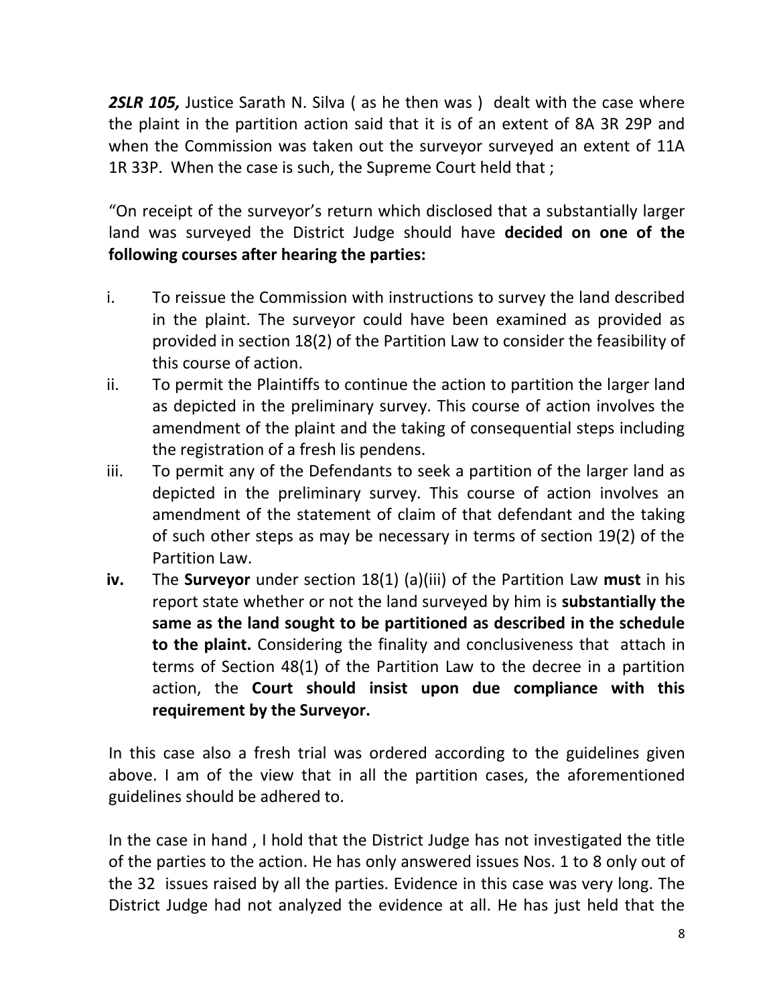**2SLR 105, Justice Sarath N. Silva (as he then was) dealt with the case where** the plaint in the partition action said that it is of an extent of 8A 3R 29P and when the Commission was taken out the surveyor surveyed an extent of 11A 1R 33P. When the case is such, the Supreme Court held that ;

"On receipt of the surveyor's return which disclosed that a substantially larger land was surveyed the District Judge should have **decided on one of the following courses after hearing the parties:**

- i. To reissue the Commission with instructions to survey the land described in the plaint. The surveyor could have been examined as provided as provided in section 18(2) of the Partition Law to consider the feasibility of this course of action.
- ii. To permit the Plaintiffs to continue the action to partition the larger land as depicted in the preliminary survey. This course of action involves the amendment of the plaint and the taking of consequential steps including the registration of a fresh lis pendens.
- iii. To permit any of the Defendants to seek a partition of the larger land as depicted in the preliminary survey. This course of action involves an amendment of the statement of claim of that defendant and the taking of such other steps as may be necessary in terms of section 19(2) of the Partition Law.
- **iv.** The **Surveyor** under section 18(1) (a)(iii) of the Partition Law **must** in his report state whether or not the land surveyed by him is **substantially the same as the land sought to be partitioned as described in the schedule to the plaint.** Considering the finality and conclusiveness that attach in terms of Section 48(1) of the Partition Law to the decree in a partition action, the **Court should insist upon due compliance with this requirement by the Surveyor.**

In this case also a fresh trial was ordered according to the guidelines given above. I am of the view that in all the partition cases, the aforementioned guidelines should be adhered to.

In the case in hand , I hold that the District Judge has not investigated the title of the parties to the action. He has only answered issues Nos. 1 to 8 only out of the 32 issues raised by all the parties. Evidence in this case was very long. The District Judge had not analyzed the evidence at all. He has just held that the